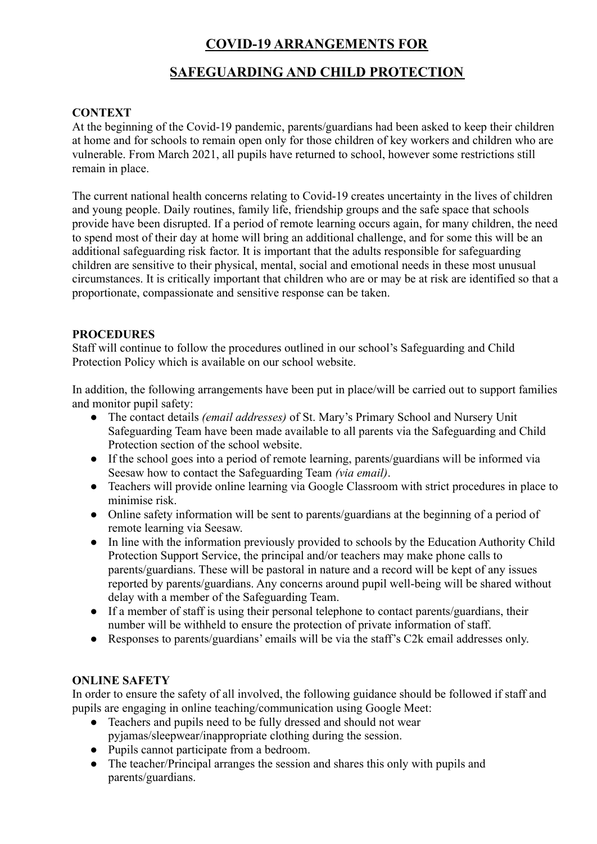# **COVID-19 ARRANGEMENTS FOR**

# **SAFEGUARDING AND CHILD PROTECTION**

# **CONTEXT**

At the beginning of the Covid-19 pandemic, parents/guardians had been asked to keep their children at home and for schools to remain open only for those children of key workers and children who are vulnerable. From March 2021, all pupils have returned to school, however some restrictions still remain in place.

The current national health concerns relating to Covid-19 creates uncertainty in the lives of children and young people. Daily routines, family life, friendship groups and the safe space that schools provide have been disrupted. If a period of remote learning occurs again, for many children, the need to spend most of their day at home will bring an additional challenge, and for some this will be an additional safeguarding risk factor. It is important that the adults responsible for safeguarding children are sensitive to their physical, mental, social and emotional needs in these most unusual circumstances. It is critically important that children who are or may be at risk are identified so that a proportionate, compassionate and sensitive response can be taken.

## **PROCEDURES**

Staff will continue to follow the procedures outlined in our school's Safeguarding and Child Protection Policy which is available on our school website.

In addition, the following arrangements have been put in place/will be carried out to support families and monitor pupil safety:

- The contact details *(email addresses)* of St. Mary's Primary School and Nursery Unit Safeguarding Team have been made available to all parents via the Safeguarding and Child Protection section of the school website.
- If the school goes into a period of remote learning, parents/guardians will be informed via Seesaw how to contact the Safeguarding Team *(via email)*.
- Teachers will provide online learning via Google Classroom with strict procedures in place to minimise risk.
- Online safety information will be sent to parents/guardians at the beginning of a period of remote learning via Seesaw.
- In line with the information previously provided to schools by the Education Authority Child Protection Support Service, the principal and/or teachers may make phone calls to parents/guardians. These will be pastoral in nature and a record will be kept of any issues reported by parents/guardians. Any concerns around pupil well-being will be shared without delay with a member of the Safeguarding Team.
- If a member of staff is using their personal telephone to contact parents/guardians, their number will be withheld to ensure the protection of private information of staff.
- Responses to parents/guardians' emails will be via the staff's C2k email addresses only.

## **ONLINE SAFETY**

In order to ensure the safety of all involved, the following guidance should be followed if staff and pupils are engaging in online teaching/communication using Google Meet:

- Teachers and pupils need to be fully dressed and should not wear pyjamas/sleepwear/inappropriate clothing during the session.
- Pupils cannot participate from a bedroom.
- The teacher/Principal arranges the session and shares this only with pupils and parents/guardians.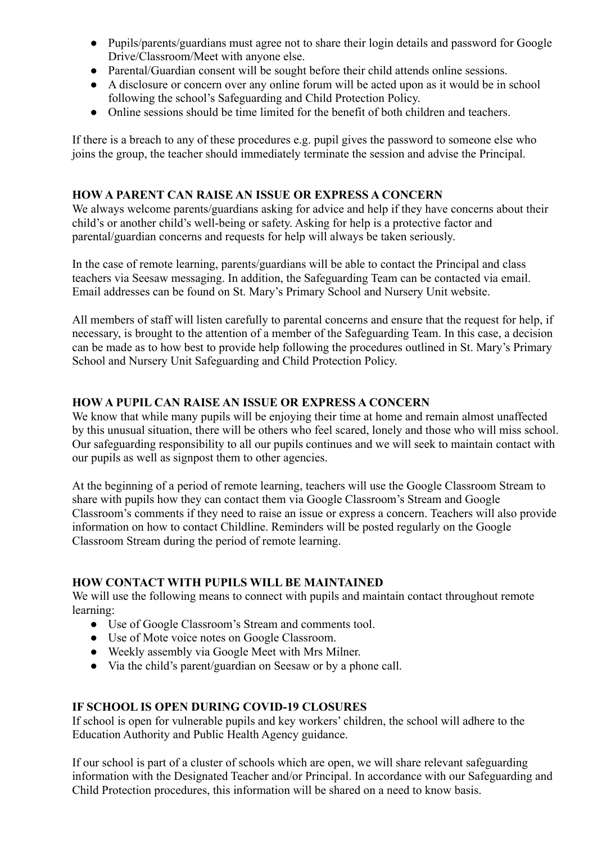- Pupils/parents/guardians must agree not to share their login details and password for Google Drive/Classroom/Meet with anyone else.
- Parental/Guardian consent will be sought before their child attends online sessions.
- A disclosure or concern over any online forum will be acted upon as it would be in school following the school's Safeguarding and Child Protection Policy.
- Online sessions should be time limited for the benefit of both children and teachers.

If there is a breach to any of these procedures e.g. pupil gives the password to someone else who joins the group, the teacher should immediately terminate the session and advise the Principal.

## **HOW A PARENT CAN RAISE AN ISSUE OR EXPRESS A CONCERN**

We always welcome parents/guardians asking for advice and help if they have concerns about their child's or another child's well-being or safety. Asking for help is a protective factor and parental/guardian concerns and requests for help will always be taken seriously.

In the case of remote learning, parents/guardians will be able to contact the Principal and class teachers via Seesaw messaging. In addition, the Safeguarding Team can be contacted via email. Email addresses can be found on St. Mary's Primary School and Nursery Unit website.

All members of staff will listen carefully to parental concerns and ensure that the request for help, if necessary, is brought to the attention of a member of the Safeguarding Team. In this case, a decision can be made as to how best to provide help following the procedures outlined in St. Mary's Primary School and Nursery Unit Safeguarding and Child Protection Policy.

# **HOW A PUPIL CAN RAISE AN ISSUE OR EXPRESS A CONCERN**

We know that while many pupils will be enjoying their time at home and remain almost unaffected by this unusual situation, there will be others who feel scared, lonely and those who will miss school. Our safeguarding responsibility to all our pupils continues and we will seek to maintain contact with our pupils as well as signpost them to other agencies.

At the beginning of a period of remote learning, teachers will use the Google Classroom Stream to share with pupils how they can contact them via Google Classroom's Stream and Google Classroom's comments if they need to raise an issue or express a concern. Teachers will also provide information on how to contact Childline. Reminders will be posted regularly on the Google Classroom Stream during the period of remote learning.

## **HOW CONTACT WITH PUPILS WILL BE MAINTAINED**

We will use the following means to connect with pupils and maintain contact throughout remote learning:

- Use of Google Classroom's Stream and comments tool.
- Use of Mote voice notes on Google Classroom.
- Weekly assembly via Google Meet with Mrs Milner.
- Via the child's parent/guardian on Seesaw or by a phone call.

# **IF SCHOOL IS OPEN DURING COVID-19 CLOSURES**

If school is open for vulnerable pupils and key workers' children, the school will adhere to the Education Authority and Public Health Agency guidance.

If our school is part of a cluster of schools which are open, we will share relevant safeguarding information with the Designated Teacher and/or Principal. In accordance with our Safeguarding and Child Protection procedures, this information will be shared on a need to know basis.